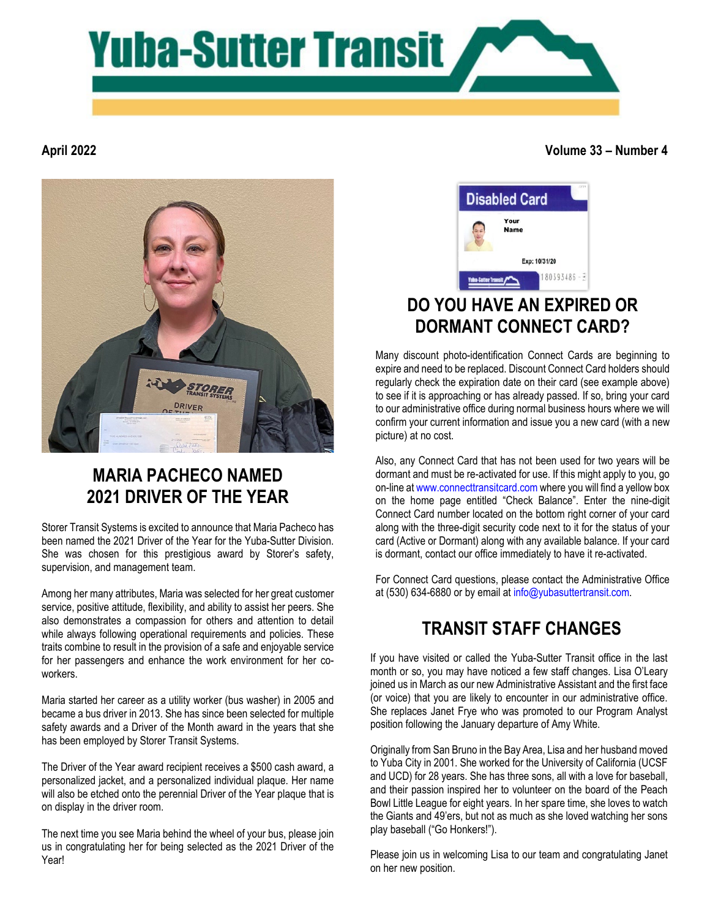

#### **April 2022**

**Volume 33 – Number 4**



# **MARIA PACHECO NAMED 2021 DRIVER OF THE YEAR**

Storer Transit Systems is excited to announce that Maria Pacheco has been named the 2021 Driver of the Year for the Yuba-Sutter Division. She was chosen for this prestigious award by Storer's safety, supervision, and management team.

Among her many attributes, Maria was selected for her great customer service, positive attitude, flexibility, and ability to assist her peers. She also demonstrates a compassion for others and attention to detail while always following operational requirements and policies. These traits combine to result in the provision of a safe and enjoyable service for her passengers and enhance the work environment for her coworkers.

Maria started her career as a utility worker (bus washer) in 2005 and became a bus driver in 2013. She has since been selected for multiple safety awards and a Driver of the Month award in the years that she has been employed by Storer Transit Systems.

The Driver of the Year award recipient receives a \$500 cash award, a personalized jacket, and a personalized individual plaque. Her name will also be etched onto the perennial Driver of the Year plaque that is on display in the driver room.

The next time you see Maria behind the wheel of your bus, please join us in congratulating her for being selected as the 2021 Driver of the Year!



## **DO YOU HAVE AN EXPIRED OR DORMANT CONNECT CARD?**

Many discount photo-identification Connect Cards are beginning to expire and need to be replaced. Discount Connect Card holders should regularly check the expiration date on their card (see example above) to see if it is approaching or has already passed. If so, bring your card to our administrative office during normal business hours where we will confirm your current information and issue you a new card (with a new picture) at no cost.

Also, any Connect Card that has not been used for two years will be dormant and must be re-activated for use. If this might apply to you, go on-line at [www.connecttransitcard.com](http://www.connecttransitcard.com/) where you will find a yellow box on the home page entitled "Check Balance". Enter the nine-digit Connect Card number located on the bottom right corner of your card along with the three-digit security code next to it for the status of your card (Active or Dormant) along with any available balance. If your card is dormant, contact our office immediately to have it re-activated.

For Connect Card questions, please contact the Administrative Office at (530) 634-6880 or by email at [info@yubasuttertransit.com.](mailto:info@yubasuttertransit.com)

# **TRANSIT STAFF CHANGES**

If you have visited or called the Yuba-Sutter Transit office in the last month or so, you may have noticed a few staff changes. Lisa O'Leary joined us in March as our new Administrative Assistant and the first face (or voice) that you are likely to encounter in our administrative office. She replaces Janet Frye who was promoted to our Program Analyst position following the January departure of Amy White.

Originally from San Bruno in the Bay Area, Lisa and her husband moved to Yuba City in 2001. She worked for the University of California (UCSF and UCD) for 28 years. She has three sons, all with a love for baseball, and their passion inspired her to volunteer on the board of the Peach Bowl Little League for eight years. In her spare time, she loves to watch the Giants and 49'ers, but not as much as she loved watching her sons play baseball ("Go Honkers!").

Please join us in welcoming Lisa to our team and congratulating Janet on her new position.